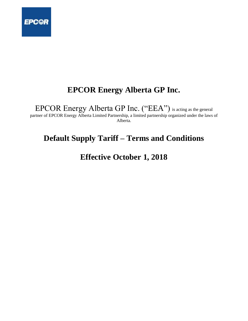

# **EPCOR Energy Alberta GP Inc.**

EPCOR Energy Alberta GP Inc. ("EEA") is acting as the general

partner of EPCOR Energy Alberta Limited Partnership, a limited partnership organized under the laws of Alberta.

# **Default Supply Tariff – Terms and Conditions**

**Effective October 1, 2018**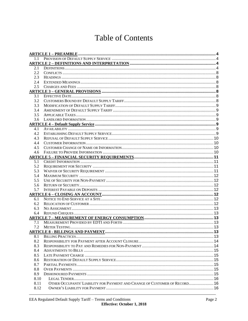# **Table of Contents**

| 1.1  |                                                                            |  |
|------|----------------------------------------------------------------------------|--|
|      |                                                                            |  |
| 2.1  |                                                                            |  |
| 2.2  |                                                                            |  |
| 2.3  |                                                                            |  |
| 2.4  |                                                                            |  |
| 2.5  |                                                                            |  |
|      |                                                                            |  |
| 3.1  |                                                                            |  |
| 3.2  |                                                                            |  |
| 3.3  |                                                                            |  |
| 3.4  |                                                                            |  |
| 3.5  |                                                                            |  |
| 3.6  |                                                                            |  |
|      |                                                                            |  |
| 4.1  |                                                                            |  |
| 4.2  |                                                                            |  |
| 4.3  |                                                                            |  |
| 4.4  |                                                                            |  |
| 4.5  |                                                                            |  |
| 4.6  |                                                                            |  |
|      |                                                                            |  |
| 5.1  |                                                                            |  |
| 5.2  |                                                                            |  |
| 5.3  |                                                                            |  |
| 5.4  |                                                                            |  |
| 5.5  |                                                                            |  |
| 5.6  |                                                                            |  |
| 5.7  |                                                                            |  |
|      |                                                                            |  |
| 6.1  |                                                                            |  |
| 6.2  |                                                                            |  |
| 6.3  |                                                                            |  |
| 6.4  |                                                                            |  |
|      |                                                                            |  |
| 7.1  |                                                                            |  |
| 7.2  |                                                                            |  |
|      | <b>ARTICLE 8 - BILLINGS AND PAYMENT.</b>                                   |  |
| 8.1  |                                                                            |  |
| 8.2  |                                                                            |  |
| 8.3  |                                                                            |  |
| 8.4  |                                                                            |  |
| 8.5  |                                                                            |  |
| 8.6  |                                                                            |  |
| 8.7  |                                                                            |  |
| 8.8  |                                                                            |  |
| 8.9  |                                                                            |  |
| 8.10 |                                                                            |  |
| 8.11 | OTHER OCCUPANTS' LIABILITY FOR PAYMENT AND CHANGE OF CUSTOMER OF RECORD 16 |  |
| 8.12 |                                                                            |  |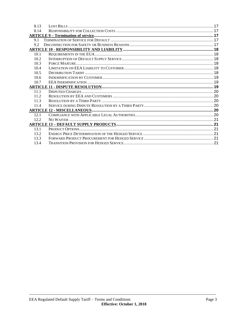| 8.13  |  |
|-------|--|
| 8.14  |  |
|       |  |
| 9.1   |  |
| 9.2   |  |
|       |  |
| 10.1  |  |
| 10.2  |  |
| 10.3  |  |
| 10.4  |  |
| 10.5  |  |
| 10.6  |  |
| 10.7  |  |
|       |  |
|       |  |
| 11.1  |  |
| 11.2  |  |
| 11.3  |  |
| 11.4  |  |
|       |  |
| 12.1  |  |
| 12.2. |  |
|       |  |
| 13.1  |  |
| 13.2  |  |
| 13.3  |  |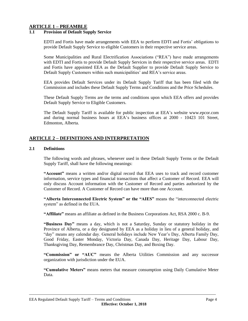# **ARTICLE 1 – PREAMBLE**

#### **1.1 Provision of Default Supply Service**

EDTI and Fortis have made arrangements with EEA to perform EDTI and Fortis' obligations to provide Default Supply Service to eligible Customers in their respective service areas.

Some Municipalities and Rural Electrification Associations ("REA") have made arrangements with EDTI and Fortis to provide Default Supply Services in their respective service areas. EDTI and Fortis have appointed EEA as the Default Supplier to provide Default Supply Service to Default Supply Customers within such municipalities' and REA's service areas.

EEA provides Default Services under its Default Supply Tariff that has been filed with the Commission and includes these Default Supply Terms and Conditions and the Price Schedules.

These Default Supply Terms are the terms and conditions upon which EEA offers and provides Default Supply Service to Eligible Customers.

The Default Supply Tariff is available for public inspection at EEA's website www.epcor.com and during normal business hours at EEA's business offices at 2000 - 10423 101 Street, Edmonton, Alberta.

# **ARTICLE 2 – DEFINITIONS AND INTERPRETATION**

#### **2.1 Definitions**

The following words and phrases, whenever used in these Default Supply Terms or the Default Supply Tariff, shall have the following meanings:

**"Account"** means a written and/or digital record that EEA uses to track and record customer information, service types and financial transactions that affect a Customer of Record. EEA will only discuss Account information with the Customer of Record and parties authorized by the Customer of Record. A Customer of Record can have more than one Account.

**"Alberta Interconnected Electric System" or the "AIES"** means the "interconnected electric system" as defined in the EUA.

**"Affiliate"** means an affiliate as defined in the Business Corporations Act, RSA 2000 c. B-9.

**"Business Day"** means a day, which is not a Saturday, Sunday or statutory holiday in the Province of Alberta, or a day designated by EEA as a holiday in lieu of a general holiday, and "day" means any calendar day. General holidays include New Year's Day, Alberta Family Day, Good Friday, Easter Monday, Victoria Day, Canada Day, Heritage Day, Labour Day, Thanksgiving Day, Remembrance Day, Christmas Day, and Boxing Day.

**"Commission" or "AUC"** means the Alberta Utilities Commission and any successor organization with jurisdiction under the EUA.

**"Cumulative Meters"** means meters that measure consumption using Daily Cumulative Meter Data.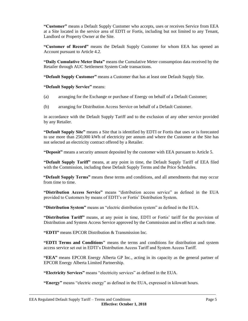**"Customer"** means a Default Supply Customer who accepts, uses or receives Service from EEA at a Site located in the service area of EDTI or Fortis, including but not limited to any Tenant, Landlord or Property Owner at the Site.

**"Customer of Record"** means the Default Supply Customer for whom EEA has opened an Account pursuant to Article 4.2.

**"Daily Cumulative Meter Data"** means the Cumulative Meter consumption data received by the Retailer through AUC Settlement System Code transactions.

**"Default Supply Customer"** means a Customer that has at least one Default Supply Site.

**"Default Supply Service"** means:

- (a) arranging for the Exchange or purchase of Energy on behalf of a Default Customer;
- (b) arranging for Distribution Access Service on behalf of a Default Customer.

in accordance with the Default Supply Tariff and to the exclusion of any other service provided by any Retailer.

**"Default Supply Site"** means a Site that is identified by EDTI or Fortis that uses or is forecasted to use more than 250,000 kWh of electricity per annum and where the Customer at the Site has not selected an electricity contract offered by a Retailer.

**"Deposit"** means a security amount deposited by the customer with EEA pursuant to Article 5.

**"Default Supply Tariff"** means, at any point in time, the Default Supply Tariff of EEA filed with the Commission, including these Default Supply Terms and the Price Schedules.

**"Default Supply Terms"** means these terms and conditions, and all amendments that may occur from time to time.

**"Distribution Access Service"** means "distribution access service" as defined in the EUA provided to Customers by means of EDTI's or Fortis' Distribution System.

**"Distribution System"** means an "electric distribution system" as defined in the EUA.

**"Distribution Tariff"** means, at any point in time, EDTI or Fortis' tariff for the provision of Distribution and System Access Service approved by the Commission and in effect at such time.

**"EDTI"** means EPCOR Distribution & Transmission Inc.

**"EDTI Terms and Conditions"** means the terms and conditions for distribution and system access service set out in EDTI's Distribution Access Tariff and System Access Tariff.

**"EEA"** means EPCOR Energy Alberta GP Inc., acting in its capacity as the general partner of EPCOR Energy Alberta Limited Partnership.

**"Electricity Services"** means "electricity services" as defined in the EUA.

**"Energy"** means "electric energy" as defined in the EUA, expressed in kilowatt hours.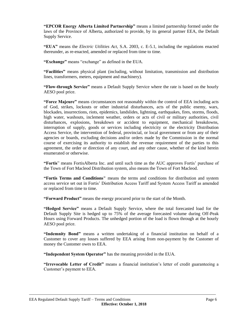**"EPCOR Energy Alberta Limited Partnership"** means a limited partnership formed under the laws of the Province of Alberta, authorized to provide, by its general partner EEA, the Default Supply Service.

**"EUA"** means the *Electric Utilities Act,* S.A. 2003, c. E-5.1, including the regulations enacted thereunder, as re-enacted, amended or replaced from time to time.

**"Exchange"** means "exchange" as defined in the EUA.

**"Facilities"** means physical plant (including, without limitation, transmission and distribution lines, transformers, meters, equipment and machinery).

**"Flow-through Service"** means a Default Supply Service where the rate is based on the hourly AESO pool price.

**"Force Majeure"** means circumstances not reasonably within the control of EEA including acts of God, strikes, lockouts or other industrial disturbances, acts of the public enemy, wars, blockades, insurrections, riots, epidemics, landslides, lightning, earthquakes, fires, storms, floods, high water, washouts, inclement weather, orders or acts of civil or military authorities, civil disturbances, explosions, breakdown or accident to equipment, mechanical breakdowns, interruption of supply, goods or services including electricity or the electricity Distribution Access Service, the intervention of federal, provincial, or local government or from any of their agencies or boards, excluding decisions and/or orders made by the Commission in the normal course of exercising its authority to establish the revenue requirement of the parties to this agreement, the order or direction of any court, and any other cause, whether of the kind herein enumerated or otherwise.

**"Fortis**" means FortisAlberta Inc. and until such time as the AUC approves Fortis' purchase of the Town of Fort Macleod Distribution system, also means the Town of Fort Macleod.

**"Fortis Terms and Conditions"** means the terms and conditions for distribution and system access service set out in Fortis' Distribution Access Tariff and System Access Tariff as amended or replaced from time to time.

**"Forward Product"** means the energy procured prior to the start of the Month.

**"Hedged Service"** means a Default Supply Service, where the total forecasted load for the Default Supply Site is hedged up to 75% of the average forecasted volume during Off-Peak Hours using Forward Products. The unhedged portion of the load is flown through at the hourly AESO pool price.

**"Indemnity Bond"** means a written undertaking of a financial institution on behalf of a Customer to cover any losses suffered by EEA arising from non-payment by the Customer of money the Customer owes to EEA.

**"Independent System Operator"** has the meaning provided in the EUA.

**"Irrevocable Letter of Credit"** means a financial institution's letter of credit guaranteeing a Customer's payment to EEA.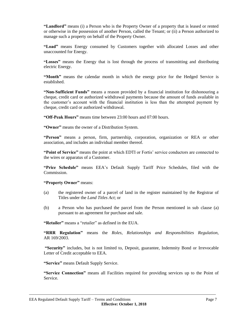**"Landlord"** means (i) a Person who is the Property Owner of a property that is leased or rented or otherwise in the possession of another Person, called the Tenant; or (ii) a Person authorized to manage such a property on behalf of the Property Owner.

**"Load"** means Energy consumed by Customers together with allocated Losses and other unaccounted for Energy.

**"Losses"** means the Energy that is lost through the process of transmitting and distributing electric Energy.

**"Month"** means the calendar month in which the energy price for the Hedged Service is established.

**"Non-Sufficient Funds"** means a reason provided by a financial institution for dishonouring a cheque, credit card or authorized withdrawal payments because the amount of funds available in the customer's account with the financial institution is less than the attempted payment by cheque, credit card or authorized withdrawal.

**"Off-Peak Hours"** means time between 23:00 hours and 07:00 hours.

**"Owner"** means the owner of a Distribution System.

**"Person"** means a person, firm, partnership, corporation, organization or REA or other association, and includes an individual member thereof.

**"Point of Service"** means the point at which EDTI or Fortis' service conductors are connected to the wires or apparatus of a Customer.

**"Price Schedule"** means EEA's Default Supply Tariff Price Schedules, filed with the Commission.

**"Property Owner"** means:

- (a) the registered owner of a parcel of land in the register maintained by the Registrar of Titles under the *Land Titles Act*; or
- (b) a Person who has purchased the parcel from the Person mentioned in sub clause (a) pursuant to an agreement for purchase and sale.

**"Retailer"** means a "retailer" as defined in the EUA.

**"RRR Regulation"** means the *Roles, Relationships and Responsibilities Regulation*, AR 169/2003.

**"Security"** includes, but is not limited to, Deposit, guarantee, Indemnity Bond or Irrevocable Letter of Credit acceptable to EEA.

**"Service"** means Default Supply Service.

**"Service Connection"** means all Facilities required for providing services up to the Point of Service.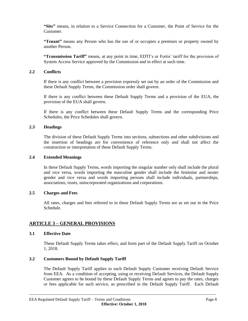**"Site"** means, in relation to a Service Connection for a Customer, the Point of Service for the Customer.

**"Tenant"** means any Person who has the use of or occupies a premises or property owned by another Person.

**"Transmission Tariff"** means, at any point in time, EDTI's or Fortis' tariff for the provision of System Access Service approved by the Commission and in effect at such time.

#### **2.2 Conflicts**

If there is any conflict between a provision expressly set out by an order of the Commission and these Default Supply Terms, the Commission order shall govern.

If there is any conflict between these Default Supply Terms and a provision of the EUA, the provision of the EUA shall govern.

If there is any conflict between these Default Supply Terms and the corresponding Price Schedules, the Price Schedules shall govern.

# **2.3 Headings**

The division of these Default Supply Terms into sections, subsections and other subdivisions and the insertion of headings are for convenience of reference only and shall not affect the construction or interpretation of these Default Supply Terms.

#### **2.4 Extended Meanings**

In these Default Supply Terms, words importing the singular number only shall include the plural and vice versa, words importing the masculine gender shall include the feminine and neuter gender and vice versa and words importing persons shall include individuals, partnerships, associations, trusts, unincorporated organizations and corporations.

#### **2.5 Charges and Fees**

All rates, charges and fees referred to in these Default Supply Terms are as set out in the Price Schedule.

# **ARTICLE 3 – GENERAL PROVISIONS**

#### **3.1 Effective Date**

These Default Supply Terms takes effect, and form part of the Default Supply Tariff on October 1, 2018.

# **3.2 Customers Bound by Default Supply Tariff**

The Default Supply Tariff applies to each Default Supply Customer receiving Default Service from EEA. As a condition of accepting, using or receiving Default Services, the Default Supply Customer agrees to be bound by these Default Supply Terms and agrees to pay the rates, charges or fees applicable for such service, as prescribed in the Default Supply Tariff. Each Default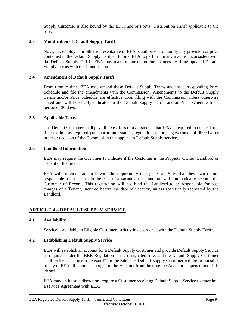Supply Customer is also bound by the EDTI and/or Fortis' Distribution Tariff applicable to the Site.

# **3.3 Modification of Default Supply Tariff**

No agent, employee or other representative of EEA is authorized to modify any provision or price contained in the Default Supply Tariff or to bind EEA to perform in any manner inconsistent with the Default Supply Tariff. EEA may make minor or routine changes by filing updated Default Supply Terms with the Commission.

# **3.4 Amendment of Default Supply Tariff**

From time to time, EEA may amend these Default Supply Terms and the corresponding Price Schedule and file the amendments with the Commission. Amendments to the Default Supply Terms and/or Price Schedule are effective upon filing with the Commission unless otherwise stated and will be clearly indicated in the Default Supply Terms and/or Price Schedule for a period of 30 days.

# **3.5 Applicable Taxes**

The Default Customer shall pay all taxes, fees or assessments that EEA is required to collect from time to time as required pursuant to any statute, regulation, or other governmental directive or order or decision of the Commission that applies to Default Supply service.

#### **3.6 Landlord Information**

EEA may require the Customer to indicate if the Customer is the Property Owner, Landlord or Tenant of the Site.

EEA will provide Landlords with the opportunity to register all Sites that they own or are responsible for such that in the case of a vacancy, the Landlord will automatically become the Customer of Record. This registration will not bind the Landlord to be responsible for past charges of a Tenant, incurred before the date of vacancy, unless specifically requested by the Landlord.

# **ARTICLE 4 – DEFAULT SUPPLY SERVICE**

# **4.1 Availability**

Service is available to Eligible Customers strictly in accordance with the Default Supply Tariff.

# **4.2 Establishing Default Supply Service**

EEA will establish an account for a Default Supply Customer and provide Default Supply Service as required under the RRR Regulation at the designated Site, and the Default Supply Customer shall be the "Customer of Record" for the Site. The Default Supply Customer will be responsible to pay to EEA all amounts charged to the Account from the time the Account is opened until it is closed.

EEA may, in its sole discretion, require a Customer receiving Default Supply Service to enter into a service Agreement with EEA.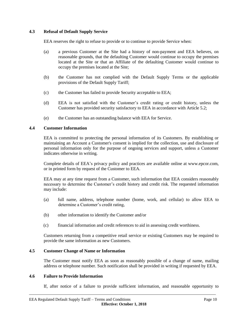# **4.3 Refusal of Default Supply Service**

EEA reserves the right to refuse to provide or to continue to provide Service when:

- (a) a previous Customer at the Site had a history of non-payment and EEA believes, on reasonable grounds, that the defaulting Customer would continue to occupy the premises located at the Site or that an Affiliate of the defaulting Customer would continue to occupy the premises located at the Site;
- (b) the Customer has not complied with the Default Supply Terms or the applicable provisions of the Default Supply Tariff;
- (c) the Customer has failed to provide Security acceptable to EEA;
- (d) EEA is not satisfied with the Customer's credit rating or credit history, unless the Customer has provided security satisfactory to EEA in accordance with Article 5.2;
- (e) the Customer has an outstanding balance with EEA for Service.

#### **4.4 Customer Information**

EEA is committed to protecting the personal information of its Customers. By establishing or maintaining an Account a Customer's consent is implied for the collection, use and disclosure of personal information only for the purpose of ongoing services and support, unless a Customer indicates otherwise in writing.

Complete details of EEA's privacy policy and practices are available online at www.epcor.com, or in printed form by request of the Customer to EEA.

EEA may at any time request from a Customer, such information that EEA considers reasonably necessary to determine the Customer's credit history and credit risk. The requested information may include:

- (a) full name, address, telephone number (home, work, and cellular) to allow EEA to determine a Customer's credit rating,
- (b) other information to identify the Customer and/or
- (c) financial information and credit references to aid in assessing credit worthiness.

Customers returning from a competitive retail service or existing Customers may be required to provide the same information as new Customers.

#### **4.5 Customer Change of Name or Information**

The Customer must notify EEA as soon as reasonably possible of a change of name, mailing address or telephone number. Such notification shall be provided in writing if requested by EEA.

#### **4.6 Failure to Provide Information**

If, after notice of a failure to provide sufficient information, and reasonable opportunity to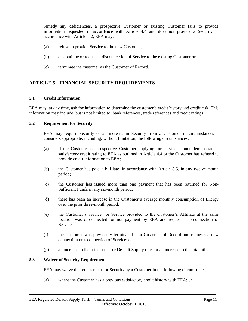remedy any deficiencies, a prospective Customer or existing Customer fails to provide information requested in accordance with Article 4.4 and does not provide a Security in accordance with Article 5.2, EEA may:

- (a) refuse to provide Service to the new Customer,
- (b) discontinue or request a disconnection of Service to the existing Customer or
- (c) terminate the customer as the Customer of Record.

# **ARTICLE 5 – FINANCIAL SECURITY REQUIREMENTS**

#### **5.1 Credit Information**

EEA may, at any time, ask for information to determine the customer's credit history and credit risk. This information may include, but is not limited to: bank references, trade references and credit ratings.

#### **5.2 Requirement for Security**

EEA may require Security or an increase in Security from a Customer in circumstances it considers appropriate, including, without limitation, the following circumstances:

- (a) if the Customer or prospective Customer applying for service cannot demonstrate a satisfactory credit rating to EEA as outlined in Article 4.4 or the Customer has refused to provide credit information to EEA;
- (b) the Customer has paid a bill late, in accordance with Article 8.5, in any twelve-month period;
- (c) the Customer has issued more than one payment that has been returned for Non-Sufficient Funds in any six-month period;
- (d) there has been an increase in the Customer's average monthly consumption of Energy over the prior three-month period;
- (e) the Customer's Service or Service provided to the Customer's Affiliate at the same location was disconnected for non-payment by EEA and requests a reconnection of Service;
- (f) the Customer was previously terminated as a Customer of Record and requests a new connection or reconnection of Service; or
- (g) an increase in the price basis for Default Supply rates or an increase to the total bill.

#### **5.3 Waiver of Security Requirement**

EEA may waive the requirement for Security by a Customer in the following circumstances:

(a) where the Customer has a previous satisfactory credit history with EEA; or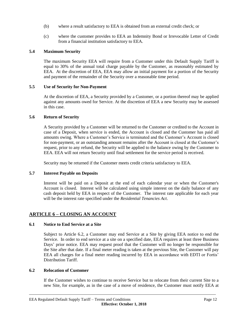- (b) where a result satisfactory to EEA is obtained from an external credit check; or
- (c) where the customer provides to EEA an Indemnity Bond or Irrevocable Letter of Credit from a financial institution satisfactory to EEA.

# **5.4 Maximum Security**

The maximum Security EEA will require from a Customer under this Default Supply Tariff is equal to 30% of the annual total charge payable by the Customer, as reasonably estimated by EEA. At the discretion of EEA, EEA may allow an initial payment for a portion of the Security and payment of the remainder of the Security over a reasonable time period.

# **5.5 Use of Security for Non-Payment**

At the discretion of EEA, a Security provided by a Customer, or a portion thereof may be applied against any amounts owed for Service. At the discretion of EEA a new Security may be assessed in this case.

#### **5.6 Return of Security**

A Security provided by a Customer will be returned to the Customer or credited to the Account in case of a Deposit, when service is ended, the Account is closed and the Customer has paid all amounts owing. Where a Customer's Service is terminated and the Customer's Account is closed for non-payment, or an outstanding amount remains after the Account is closed at the Customer's request, prior to any refund, the Security will be applied to the balance owing by the Customer to EEA. EEA will not return Security until final settlement for the service period is received.

Security may be returned if the Customer meets credit criteria satisfactory to EEA.

# **5.7 Interest Payable on Deposits**

Interest will be paid on a Deposit at the end of each calendar year or when the Customer's Account is closed. Interest will be calculated using simple interest on the daily balance of any cash deposit held by EEA in respect of the Customer. The interest rate applicable for each year will be the interest rate specified under the *Residential Tenancies Act*.

# **ARTICLE 6 – CLOSING AN ACCOUNT**

# **6.1 Notice to End Service at a Site**

Subject to Article 6.2, a Customer may end Service at a Site by giving EEA notice to end the Service. In order to end service at a site on a specified date, EEA requires at least three Business Days' prior notice. EEA may request proof that the Customer will no longer be responsible for the Site after that date. If a final meter reading is taken at the previous Site, the Customer will pay EEA all charges for a final meter reading incurred by EEA in accordance with EDTI or Fortis' Distribution Tariff.

#### **6.2 Relocation of Customer**

If the Customer wishes to continue to receive Service but to relocate from their current Site to a new Site, for example, as in the case of a move of residence, the Customer must notify EEA at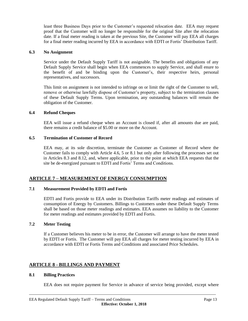least three Business Days prior to the Customer's requested relocation date. EEA may request proof that the Customer will no longer be responsible for the original Site after the relocation date. If a final meter reading is taken at the previous Site, the Customer will pay EEA all charges for a final meter reading incurred by EEA in accordance with EDTI or Fortis' Distribution Tariff.

#### **6.3 No Assignment**

Service under the Default Supply Tariff is not assignable. The benefits and obligations of any Default Supply Service shall begin when EEA commences to supply Service, and shall enure to the benefit of and be binding upon the Customer's, their respective heirs, personal representatives, and successors.

This limit on assignment is not intended to infringe on or limit the right of the Customer to sell, remove or otherwise lawfully dispose of Customer's property, subject to the termination clauses of these Default Supply Terms. Upon termination, any outstanding balances will remain the obligation of the Customer.

# **6.4 Refund Cheques**

EEA will issue a refund cheque when an Account is closed if, after all amounts due are paid, there remains a credit balance of \$5.00 or more on the Account.

#### **6.5 Termination of Customer of Record**

EEA may, at its sole discretion, terminate the Customer as Customer of Record where the Customer fails to comply with Article 4.6, 5 or 8.1 but only after following the processes set out in Articles 8.3 and 8.12, and, where applicable, prior to the point at which EEA requests that the site be de-energized pursuant to EDTI and Fortis' Terms and Conditions.

# **ARTICLE 7 – MEASUREMENT OF ENERGY CONSUMPTION**

# **7.1 Measurement Provided by EDTI and Fortis**

EDTI and Fortis provide to EEA under its Distribution Tariffs meter readings and estimates of consumption of Energy by Customers. Billings to Customers under these Default Supply Terms shall be based on those meter readings and estimates. EEA assumes no liability to the Customer for meter readings and estimates provided by EDTI and Fortis.

# **7.2 Meter Testing**

If a Customer believes his meter to be in error, the Customer will arrange to have the meter tested by EDTI or Fortis. The Customer will pay EEA all charges for meter testing incurred by EEA in accordance with EDTI or Fortis Terms and Conditions and associated Price Schedules.

# **ARTICLE 8 - BILLINGS AND PAYMENT**

#### **8.1 Billing Practices**

EEA does not require payment for Service in advance of service being provided, except where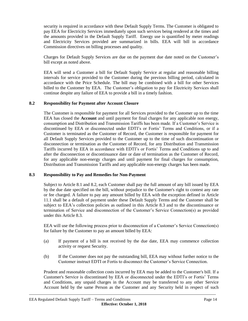security is required in accordance with these Default Supply Terms. The Customer is obligated to pay EEA for Electricity Services immediately upon such services being rendered at the times and the amounts provided in the Default Supply Tariff. Energy use is quantified by meter readings and Electricity Services provided are summarized in bills. EEA will bill in accordance Commission directives on billing processes and quality.

Charges for Default Supply Services are due on the payment due date noted on the Customer's bill except as noted above.

EEA will send a Customer a bill for Default Supply Service at regular and reasonable billing intervals for service provided to the Customer during the previous billing period, calculated in accordance with the Price Schedule. The bill may be combined with a bill for other Services billed to the Customer by EEA. The Customer's obligation to pay for Electricity Services shall continue despite any failure of EEA to provide a bill in a timely fashion.

#### **8.2 Responsibility for Payment after Account Closure**

The Customer is responsible for payment for all Services provided to the Customer up to the time EEA has closed the **Account** and until payment for final charges for any applicable non energy, consumption and Distribution and Transmission Tariffs has been made. If a Customer's Service is discontinued by EEA or disconnected under EDTI's or Fortis' Terms and Conditions, or if a Customer is terminated as the Customer of Record, the Customer is responsible for payment for all Default Supply Services provided to the Customer up to the time of such discontinuation or disconnection or termination as the Customer of Record, for any Distribution and Transmission Tariffs incurred by EEA in accordance with EDTI's or Fortis' Terms and Conditions up to and after the disconnection or discontinuance date or date of termination as the Customer of Record, for any applicable non-energy charges and until payment for final charges for consumption, Distribution and Transmission Tariffs and any applicable non-energy charges has been made.

#### **8.3 Responsibility to Pay and Remedies for Non-Payment**

Subject to Article 8.1 and 8.2, each Customer shall pay the full amount of any bill issued by EEA by the due date specified on the bill, without prejudice to the Customer's right to contest any rate or fee charged. A failure to pay any amount billed by EEA with the exception defined in Article 11.1 shall be a default of payment under these Default Supply Terms and the Customer shall be subject to EEA's collection policies as outlined in this Article 8.3 and to the discontinuance or termination of Service and disconnection of the Customer's Service Connection(s) as provided under this Article 8.3.

EEA will use the following process prior to disconnection of a Customer's Service Connection(s) for failure by the Customer to pay an amount billed by EEA:

- (a) If payment of a bill is not received by the due date, EEA may commence collection activity or request Security.
- (b) If the Customer does not pay the outstanding bill, EEA may without further notice to the Customer instruct EDTI or Fortis to disconnect the Customer's Service Connection.

Prudent and reasonable collection costs incurred by EEA may be added to the Customer's bill. If a Customer's Service is discontinued by EEA or disconnected under the EDTI's or Fortis' Terms and Conditions, any unpaid charges in the Account may be transferred to any other Service Account held by the same Person as the Customer and any Security held in respect of such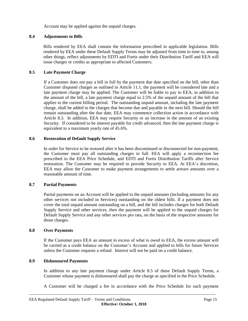Account may be applied against the unpaid charges.

# **8.4 Adjustments to Bills**

Bills rendered by EEA shall contain the information prescribed in applicable legislation. Bills rendered by EEA under these Default Supply Terms may be adjusted from time to time to, among other things, reflect adjustments by EDTI and Fortis under their Distribution Tariff and EEA will issue charges or credits as appropriate to affected Customers.

# **8.5 Late Payment Charge**

If a Customer does not pay a bill in full by the payment due date specified on the bill, other than Customer disputed charges as outlined in Article 11.1, the payment will be considered late and a late payment charge may be applied. The Customer will be liable to pay to EEA, in addition to the amount of the bill, a late payment charge equal to 2.5% of the unpaid amount of the bill that applies to the current billing period. The outstanding unpaid amount, including the late payment charge, shall be added to the charges that become due and payable in the next bill. Should the bill remain outstanding after the due date, EEA may commence collection action in accordance with Article 8.3. In addition, EEA may require Security or an increase in the amount of an existing Security. If considered to be interest payable for credit advanced, then the late payment charge is equivalent to a maximum yearly rate of 45.6%.

# **8.6 Restoration of Default Supply Service**

In order for Service to be restored after it has been discontinued or disconnected for non-payment, the Customer must pay all outstanding charges in full. EEA will apply a reconnection fee prescribed in the EEA Price Schedule, and EDTI and Fortis Distribution Tariffs after Service restoration. The Customer may be required to provide Security to EEA. At EEA's discretion, EEA may allow the Customer to make payment arrangements to settle arrears amounts over a reasonable amount of time.

# **8.7 Partial Payments**

Partial payments on an Account will be applied to the unpaid amounts (including amounts for any other services not included in Services) outstanding on the oldest bills. If a payment does not cover the total unpaid amount outstanding on a bill, and the bill includes charges for both Default Supply Service and other services, then the payment will be applied to the unpaid charges for Default Supply Service and any other services pro rata, on the basis of the respective amounts for those charges.

# **8.8 Over Payments**

If the Customer pays EEA an amount in excess of what is owed to EEA, the excess amount will be carried as a credit balance on the Customer's Account and applied to bills for future Services unless the Customer requests a refund. Interest will not be paid on a credit balance.

# **8.9 Dishonoured Payments**

In addition to any late payment charge under Article 8.5 of these Default Supply Terms, a Customer whose payment is dishonoured shall pay the charge as specified in the Price Schedule.

A Customer will be charged a fee in accordance with the Price Schedule for each payment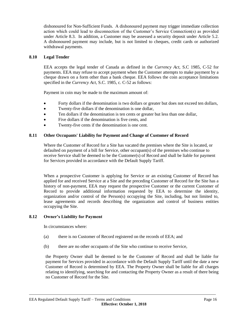dishonoured for Non-Sufficient Funds. A dishonoured payment may trigger immediate collection action which could lead to disconnection of the Customer's Service Connection(s) as provided under Article 8.3. In addition, a Customer may be assessed a security deposit under Article 5.2. A dishonoured payment may include, but is not limited to cheques, credit cards or authorized withdrawal payments.

### **8.10 Legal Tender**

EEA accepts the legal tender of Canada as defined in the *Currency Act,* S.C 1985, C-52 for payments. EEA may refuse to accept payment when the Customer attempts to make payment by a cheque drawn on a form other than a bank cheque. EEA follows the coin acceptance limitations specified in the *Currency Act*, S.C. 1985, c. C-52 as follows:

Payment in coin may be made to the maximum amount of:

- Forty dollars if the denomination is two dollars or greater but does not exceed ten dollars,
- Twenty-five dollars if the denomination is one dollar,
- Ten dollars if the denomination is ten cents or greater but less than one dollar,
- Five dollars if the denomination is five cents, and
- Twenty-five cents if the denomination is one cent.

#### **8.11 Other Occupants' Liability for Payment and Change of Customer of Record**

Where the Customer of Record for a Site has vacated the premises where the Site is located, or defaulted on payment of a bill for Service, other occupant(s) of the premises who continue to receive Service shall be deemed to be the Customer(s) of Record and shall be liable for payment for Services provided in accordance with the Default Supply Tariff.

When a prospective Customer is applying for Service or an existing Customer of Record has applied for and received Service at a Site and the preceding Customer of Record for the Site has a history of non-payment, EEA may request the prospective Customer or the current Customer of Record to provide additional information requested by EEA to determine the identity, organization and/or control of the Person(s) occupying the Site, including, but not limited to, lease agreements and records describing the organization and control of business entities occupying the Site.

#### **8.12 Owner's Liability for Payment**

In circumstances where:

- (a) there is no Customer of Record registered on the records of EEA; and
- (b) there are no other occupants of the Site who continue to receive Service,

the Property Owner shall be deemed to be the Customer of Record and shall be liable for payment for Services provided in accordance with the Default Supply Tariff until the date a new Customer of Record is determined by EEA. The Property Owner shall be liable for all charges relating to identifying, searching for and contacting the Property Owner as a result of there being no Customer of Record for the Site.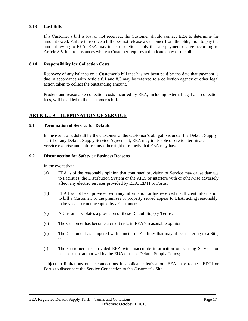#### **8.13 Lost Bills**

If a Customer's bill is lost or not received, the Customer should contact EEA to determine the amount owed. Failure to receive a bill does not release a Customer from the obligation to pay the amount owing to EEA. EEA may in its discretion apply the late payment charge according to Article 8.5, in circumstances where a Customer requires a duplicate copy of the bill.

#### **8.14 Responsibility for Collection Costs**

Recovery of any balance on a Customer's bill that has not been paid by the date that payment is due in accordance with Article 8.1 and 8.3 may be referred to a collection agency or other legal action taken to collect the outstanding amount.

Prudent and reasonable collection costs incurred by EEA, including external legal and collection fees, will be added to the Customer's bill.

# **ARTICLE 9 – TERMINATION OF SERVICE**

#### **9.1 Termination of Service for Default**

In the event of a default by the Customer of the Customer's obligations under the Default Supply Tariff or any Default Supply Service Agreement, EEA may in its sole discretion terminate Service exercise and enforce any other right or remedy that EEA may have.

#### **9.2 Disconnection for Safety or Business Reasons**

In the event that:

- (a) EEA is of the reasonable opinion that continued provision of Service may cause damage to Facilities, the Distribution System or the AIES or interfere with or otherwise adversely affect any electric services provided by EEA, EDTI or Fortis;
- (b) EEA has not been provided with any information or has received insufficient information to bill a Customer, or the premises or property served appear to EEA, acting reasonably, to be vacant or not occupied by a Customer;
- (c) A Customer violates a provision of these Default Supply Terms;
- (d) The Customer has become a credit risk, in EEA's reasonable opinion;
- (e) The Customer has tampered with a meter or Facilities that may affect metering to a Site; or
- (f) The Customer has provided EEA with inaccurate information or is using Service for purposes not authorized by the EUA or these Default Supply Terms;

subject to limitations on disconnections in applicable legislation, EEA may request EDTI or Fortis to disconnect the Service Connection to the Customer's Site.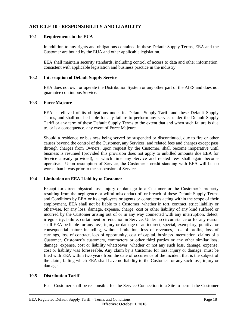# **ARTICLE 10 - RESPONSIBILITY AND LIABILITY**

#### **10.1 Requirements in the EUA**

In addition to any rights and obligations contained in these Default Supply Terms, EEA and the Customer are bound by the EUA and other applicable legislation.

EEA shall maintain security standards, including control of access to data and other information, consistent with applicable legislation and business practice in the industry.

#### **10.2 Interruption of Default Supply Service**

EEA does not own or operate the Distribution System or any other part of the AIES and does not guarantee continuous Service.

#### **10.3 Force Majeure**

EEA is relieved of its obligations under its Default Supply Tariff and these Default Supply Terms, and shall not be liable for any failure to perform any service under the Default Supply Tariff or any term of these Default Supply Terms to the extent that and when such failure is due to, or is a consequence, any event of Force Majeure.

Should a residence or business being served be suspended or discontinued, due to fire or other causes beyond the control of the Customer, any Services, and related fees and charges except pass through charges from Owners, upon request by the Customer, shall become inoperative until business is resumed (provided this provision does not apply to unbilled amounts due EEA for Service already provided), at which time any Service and related fees shall again become operative. Upon resumption of Service, the Customer's credit standing with EEA will be no worse than it was prior to the suspension of Service.

#### **10.4 Limitation on EEA Liability to Customer**

Except for direct physical loss, injury or damage to a Customer or the Customer's property resulting from the negligence or wilful misconduct of, or breach of these Default Supply Terms and Conditions by EEA or its employees or agents or contractors acting within the scope of their employment, EEA shall not be liable to a Customer, whether in tort, contract, strict liability or otherwise, for any loss, damage, expense, charge, cost or other liability of any kind suffered or incurred by the Customer arising out of or in any way connected with any interruption, defect, irregularity, failure, curtailment or reduction in Service. Under no circumstance or for any reason shall EEA be liable for any loss, injury or damage of an indirect, special, exemplary, punitive or consequential nature including, without limitation, loss of revenues, loss of profits, loss of earnings, loss of contract, loss of opportunity, cost of capital, business interruption, claims of a Customer, Customer's customers, contractors or other third parties or any other similar loss, damage, expense, cost or liability whatsoever, whether or not any such loss, damage, expense, cost or liability was foreseeable. Any claim by a Customer for loss, injury or damage, must be filed with EEA within two years from the date of occurrence of the incident that is the subject of the claim, failing which EEA shall have no liability to the Customer for any such loss, injury or damage.

#### **10.5 Distribution Tariff**

Each Customer shall be responsible for the Service Connection to a Site to permit the Customer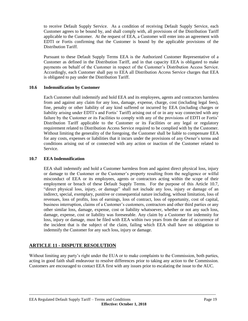to receive Default Supply Service. As a condition of receiving Default Supply Service, each Customer agrees to be bound by, and shall comply with, all provisions of the Distribution Tariff applicable to the Customer. At the request of EEA, a Customer will enter into an agreement with EDTI or Fortis confirming that the Customer is bound by the applicable provisions of the Distribution Tariff.

Pursuant to these Default Supply Terms EEA is the Authorized Customer Representative of a Customer as defined in the Distribution Tariff, and in that capacity EEA is obligated to make payments on behalf of the Customer in respect of the Customer's Distribution Access Service. Accordingly, each Customer shall pay to EEA all Distribution Access Service charges that EEA is obligated to pay under the Distribution Tariff.

# **10.6 Indemnification by Customer**

Each Customer shall indemnify and hold EEA and its employees, agents and contractors harmless from and against any claim for any loss, damage, expense, charge, cost (including legal fees), fine, penalty or other liability of any kind suffered or incurred by EEA (including charges or liability arising under EDTI's and Fortis' Tariff) arising out of or in any way connected with any failure by the Customer or its Facilities to comply with any of the provisions of EDTI or Fortis' Distribution Tariff applicable to the Customer or its Facilities or any legal or regulatory requirement related to Distribution Access Service required to be complied with by the Customer. Without limiting the generality of the foregoing, the Customer shall be liable to compensate EEA for any costs, expenses or liabilities that it incurs under the provisions of any Owner's terms and conditions arising out of or connected with any action or inaction of the Customer related to Service.

#### **10.7 EEA Indemnification**

EEA shall indemnify and hold a Customer harmless from and against direct physical loss, injury or damage to the Customer or the Customer's property resulting from the negligence or wilful misconduct of EEA or its employees, agents or contractors acting within the scope of their employment or breach of these Default Supply Terms. For the purpose of this Article 10.7, "direct physical loss, injury, or damage" shall not include any loss, injury or damage of an indirect, special, exemplary, punitive or consequential nature including, without limitation, loss of revenues, loss of profits, loss of earnings, loss of contract, loss of opportunity, cost of capital, business interruption, claims of a Customer's customers, contractors and other third parties or any other similar loss, damage, expense, cost or liability whatsoever, whether or not any such loss, damage, expense, cost or liability was foreseeable. Any claim by a Customer for indemnity for loss, injury or damage, must be filed with EEA within two years from the date of occurrence of the incident that is the subject of the claim, failing which EEA shall have no obligation to indemnify the Customer for any such loss, injury or damage.

# **ARTICLE 11 - DISPUTE RESOLUTION**

Without limiting any party's right under the EUA or to make complaints to the Commission, both parties, acting in good faith shall endeavour to resolve differences prior to taking any action to the Commission. Customers are encouraged to contact EEA first with any issues prior to escalating the issue to the AUC.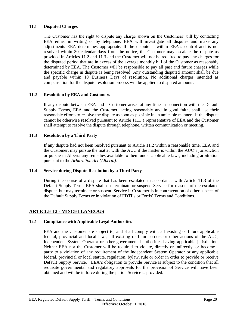# **11.1 Disputed Charges**

The Customer has the right to dispute any charge shown on the Customers' bill by contacting EEA either in writing or by telephone. EEA will investigate all disputes and make any adjustments EEA determines appropriate. If the dispute is within EEA's control and is not resolved within 30 calendar days from the notice, the Customer may escalate the dispute as provided in Articles 11.2 and 11.3 and the Customer will not be required to pay any charges for the disputed period that are in excess of the average monthly bill of the Customer as reasonably determined by EEA. The Customer will be responsible to pay all past and future charges while the specific charge in dispute is being resolved. Any outstanding disputed amount shall be due and payable within 10 Business Days of resolution. No additional charges intended as compensation for the dispute resolution process will be applied to disputed amounts.

#### **11.2 Resolution by EEA and Customers**

If any dispute between EEA and a Customer arises at any time in connection with the Default Supply Terms, EEA and the Customer, acting reasonably and in good faith, shall use their reasonable efforts to resolve the dispute as soon as possible in an amicable manner. If the dispute cannot be otherwise resolved pursuant to Article 11.1, a representative of EEA and the Customer shall attempt to resolve the dispute through telephone, written communication or meeting.

#### **11.3 Resolution by a Third Party**

If any dispute had not been resolved pursuant to Article 11.2 within a reasonable time, EEA and the Customer, may pursue the matter with the AUC if the matter is within the AUC's jurisdiction or pursue in Alberta any remedies available to them under applicable laws, including arbitration pursuant to the *Arbitration Act (Alberta)*.

#### **11.4 Service during Dispute Resolution by a Third Party**

During the course of a dispute that has been escalated in accordance with Article 11.3 of the Default Supply Terms EEA shall not terminate or suspend Service for reasons of the escalated dispute, but may terminate or suspend Service if Customer is in contravention of other aspects of the Default Supply Terms or in violation of EDTI's or Fortis' Terms and Conditions.

# **ARTICLE 12 - MISCELLANEOUS**

# **12.1 Compliance with Applicable Legal Authorities**

EEA and the Customer are subject to, and shall comply with, all existing or future applicable federal, provincial and local laws, all existing or future orders or other actions of the AUC, Independent System Operator or other governmental authorities having applicable jurisdiction. Neither EEA nor the Customer will be required to violate, directly or indirectly, or become a party to a violation of any requirement of the Independent System Operator or any applicable federal, provincial or local statute, regulation, bylaw, rule or order in order to provide or receive Default Supply Service. EEA's obligation to provide Service is subject to the condition that all requisite governmental and regulatory approvals for the provision of Service will have been obtained and will be in force during the period Service is provided.